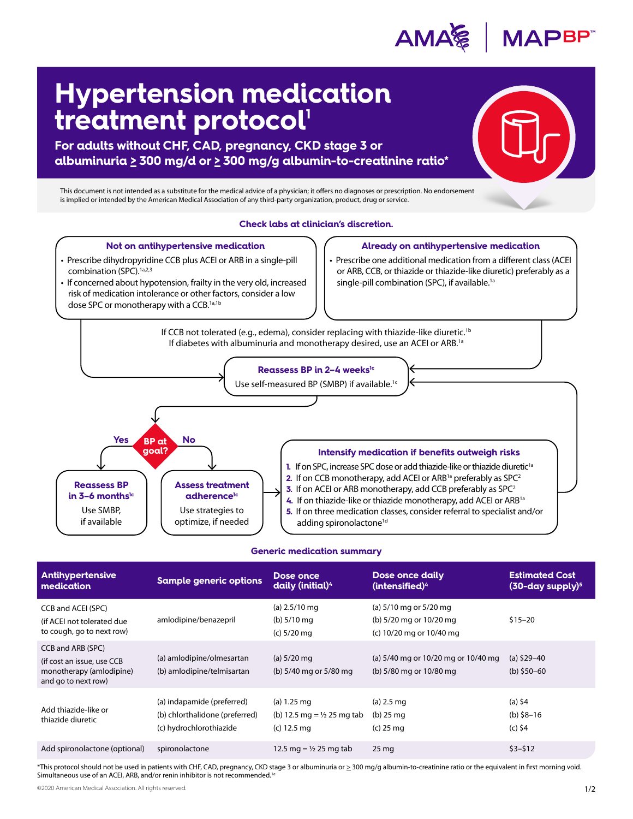

## **Hypertension medication treatment protocol'**

**For adults without CHF, CAD, pregnancy, CKD stage 3 or albuminuria > 300 mg/d or > 300 mg/g albumin-to-creatinine ratio\*** 

This document is not intended as a substitute for the medical advice of a physician; it offers no diagnoses or prescription. No endorsement is implied or intended by the American Medical Association of any third-party organization, product, drug or service.



## **Generic medication summary**

| <b>Antihypertensive</b><br>medication                                                              | <b>Sample generic options</b>                                                           | Dose once<br>daily (initial) <sup>4</sup>                                       | Dose once daily<br>(intensified) <sup>4</sup>                                 | <b>Estimated Cost</b><br>$(30$ -day supply) <sup>5</sup> |
|----------------------------------------------------------------------------------------------------|-----------------------------------------------------------------------------------------|---------------------------------------------------------------------------------|-------------------------------------------------------------------------------|----------------------------------------------------------|
| CCB and ACEI (SPC)<br>(if ACEI not tolerated due<br>to cough, go to next row)                      | amlodipine/benazepril                                                                   | (a) $2.5/10$ mg<br>(b) $5/10$ mg<br>$(c) 5/20$ mg                               | (a) 5/10 mg or 5/20 mg<br>(b) 5/20 mg or 10/20 mg<br>(c) 10/20 mg or 10/40 mg | $$15 - 20$                                               |
| CCB and ARB (SPC)<br>(if cost an issue, use CCB<br>monotherapy (amlodipine)<br>and go to next row) | (a) amlodipine/olmesartan<br>(b) amlodipine/telmisartan                                 | (a) $5/20$ mg<br>(b) 5/40 mg or 5/80 mg                                         | (a) 5/40 mg or 10/20 mg or 10/40 mg<br>(b) 5/80 mg or 10/80 mg                | (a) $$29-40$<br>(b) $$50-60$                             |
| Add thiazide-like or<br>thiazide diuretic                                                          | (a) indapamide (preferred)<br>(b) chlorthalidone (preferred)<br>(c) hydrochlorothiazide | $(a) 1.25 \text{ mg}$<br>(b) 12.5 mg = $\frac{1}{2}$ 25 mg tab<br>$(c)$ 12.5 mg | (a) $2.5 \text{ mg}$<br>$(b)$ 25 mg<br>$(c)$ 25 mg                            | (a) $$4$<br>(b) $$8-16$<br>$(c)$ \$4                     |
| Add spironolactone (optional)                                                                      | spironolactone                                                                          | 12.5 mg = $\frac{1}{2}$ 25 mg tab                                               | $25 \,\mathrm{mg}$                                                            | $$3 - $12$                                               |

\*This protocol should not be used in patients with CHF, CAD, pregnancy, CKD stage 3 or albuminuria or > 300 mg/g albumin-to-creatinine ratio or the equivalent in first morning void. Simultaneous use of an ACEI, ARB, and/or renin inhibitor is not recommended.<sup>16</sup>

©2020 American Medical Association. All rights reserved. 1/2